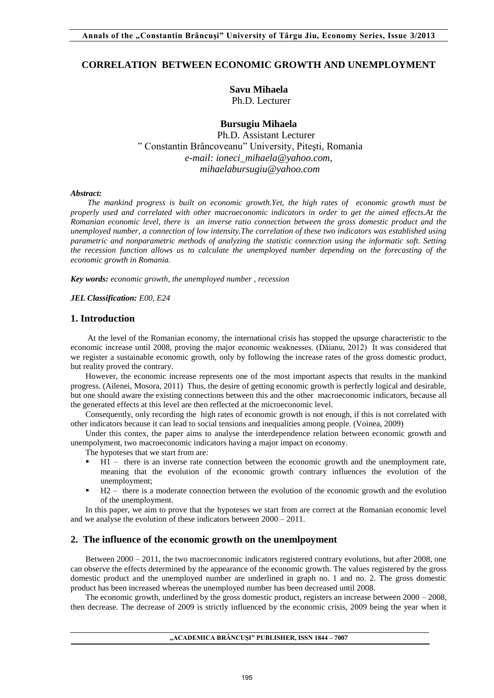# **CORRELATION BETWEEN ECONOMIC GROWTH AND UNEMPLOYMENT**

**Savu Mihaela**  Ph.D. Lecturer

**Bursugiu Mihaela** 

 Ph.D. Assistant Lecturer " Constantin Brâncoveanu" University, Piteşti, Romania *[e-mail: ioneci\\_mihaela@yahoo.com,](mailto:e-mail:%20ioneci_mihaela@yahoo.com) mihaelabursugiu@yahoo.com* 

#### *Abstract:*

 *The mankind progress is built on economic growth.Yet, the high rates of economic growth must be properly used and correlated with other macroeconomic indicators in order to get the aimed effects.At the Romanian economic level, there is an inverse ratio connection between the gross domestic product and the unemployed number, a connection of low intensity.The correlation of these two indicators was established using parametric and nonparametric methods of analyzing the statistic connection using the informatic soft. Setting the recession function allows us to calculate the unemployed number depending on the forecasting of the economic growth in Romania.* 

*Key words: economic growth, the unemployed number , recession* 

*JEL Classification: E00, E24*

## **1. Introduction**

 At the level of the Romanian economy, the international crisis has stopped the upsurge characteristic to the economic increase until 2008, proving the major economic weaknesses. (Dăianu, 2012) It was considered that we register a sustainable economic growth, only by following the increase rates of the gross domestic product, but reality proved the contrary.

However, the economic increase represents one of the most important aspects that results in the mankind progress. (Ailenei, Mosora, 2011) Thus, the desire of getting economic growth is perfectly logical and desirable, but one should aware the existing connections between this and the other macroeconomic indicators, because all the generated effects at this level are then reflected at the microeconomic level.

Consequently, only recording the high rates of economic growth is not enough, if this is not correlated with other indicators because it can lead to social tensions and inequalities among people. (Voinea, 2009)

Under this contex, the paper aims to analyse the interdependence relation between economic growth and unempolyment, two macroeconomic indicators having a major impact on economy.

The hypoteses that we start from are:

- H1 there is an inverse rate connection between the economic growth and the unemployment rate, meaning that the evolution of the economic growth contrary influences the evolution of the unemployment;
- H2 there is a moderate connection between the evolution of the economic growth and the evolution of the unemployment.

In this paper, we aim to prove that the hypoteses we start from are correct at the Romanian economic level and we analyse the evolution of these indicators between 2000 – 2011.

## **2. The influence of the economic growth on the unemlpoyment**

Between 2000 – 2011, the two macroeconomic indicators registered contrary evolutions, but after 2008, one can observe the effects determined by the appearance of the economic growth. The values registered by the gross domestic product and the unemployed number are underlined in graph no. 1 and no. 2. The gross domestic product has been increased whereas the unemployed number has been decreased until 2008.

The economic growth, underlined by the gross domestic product, registers an increase between 2000 – 2008, then decrease. The decrease of 2009 is strictly influenced by the economic crisis, 2009 being the year when it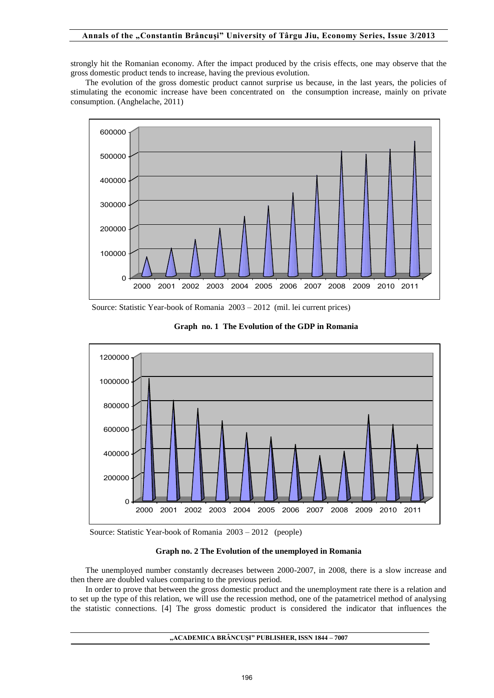## **Annals of the "Constantin Brâncuşi" University of Târgu Jiu, Economy Series, Issue 3/2013**

strongly hit the Romanian economy. After the impact produced by the crisis effects, one may observe that the gross domestic product tends to increase, having the previous evolution.

The evolution of the gross domestic product cannot surprise us because, in the last years, the policies of stimulating the economic increase have been concentrated on the consumption increase, mainly on private consumption. (Anghelache, 2011)



Source: Statistic Year-book of Romania 2003 – 2012 (mil. lei current prices)





Source: Statistic Year-book of Romania 2003 – 2012 (people)

### **Graph no. 2 The Evolution of the unemployed in Romania**

The unemployed number constantly decreases between 2000-2007, in 2008, there is a slow increase and then there are doubled values comparing to the previous period.

In order to prove that between the gross domestic product and the unemployment rate there is a relation and to set up the type of this relation, we will use the recession method, one of the patametricel method of analysing the statistic connections. [4] The gross domestic product is considered the indicator that influences the

# **"ACADEMICA BRÂNCUŞI" PUBLISHER, ISSN 1844 – 7007**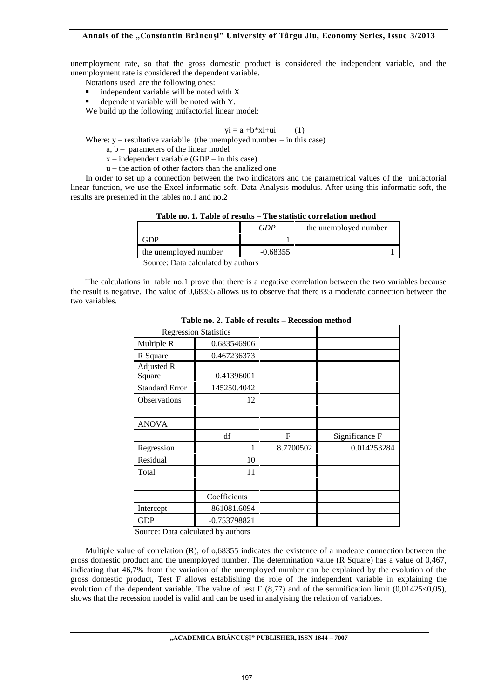unemployment rate, so that the gross domestic product is considered the independent variable, and the unemployment rate is considered the dependent variable.

- Notations used are the following ones:
- independent variable will be noted with X
- dependent variable will be noted with Y.

We build up the following unifactorial linear model:

$$
yi = a + b*xi + ui \tag{1}
$$

Where:  $y$  – resultative variabile (the unemployed number – in this case)

- $a, b$  parameters of the linear model
- $x$  independent variable (GDP in this case)
- u the action of other factors than the analized one

In order to set up a connection between the two indicators and the parametrical values of the unifactorial linear function, we use the Excel informatic soft, Data Analysis modulus. After using this informatic soft, the results are presented in the tables no.1 and no.2

| Table no. 1. Table of results – The statistic correlation method |            |                       |  |  |
|------------------------------------------------------------------|------------|-----------------------|--|--|
|                                                                  | GDP        | the unemployed number |  |  |
| <b>GDP</b>                                                       |            |                       |  |  |
| the unemployed number                                            | $-0.68355$ |                       |  |  |
|                                                                  |            |                       |  |  |

**Table no. 1. Table of results – The statistic correlation method** 

Source: Data calculated by authors

The calculations in table no.1 prove that there is a negative correlation between the two variables because the result is negative. The value of 0,68355 allows us to observe that there is a moderate connection between the two variables.

|                       | <b>Regression Statistics</b> |           |                |
|-----------------------|------------------------------|-----------|----------------|
| Multiple R            | 0.683546906                  |           |                |
| R Square              | 0.467236373                  |           |                |
| Adjusted R<br>Square  | 0.41396001                   |           |                |
| <b>Standard Error</b> | 145250.4042                  |           |                |
| Observations          | 12                           |           |                |
|                       |                              |           |                |
| <b>ANOVA</b>          |                              |           |                |
|                       | df                           | F         | Significance F |
| Regression            |                              | 8.7700502 | 0.014253284    |
| Residual              | 10                           |           |                |
| Total                 | 11                           |           |                |
|                       |                              |           |                |
|                       | Coefficients                 |           |                |
| Intercept             | 861081.6094                  |           |                |
| <b>GDP</b>            | -0.753798821                 |           |                |

**Table no. 2. Table of results – Recession method** 

Source: Data calculated by authors

Multiple value of correlation (R), of o,68355 indicates the existence of a modeate connection between the gross domestic product and the unemployed number. The determination value (R Square) has a value of 0,467, indicating that 46,7% from the variation of the unemployed number can be explained by the evolution of the gross domestic product, Test F allows establishing the role of the independent variable in explaining the evolution of the dependent variable. The value of test F (8,77) and of the semnification limit (0,01425<0,05), shows that the recession model is valid and can be used in analyising the relation of variables.